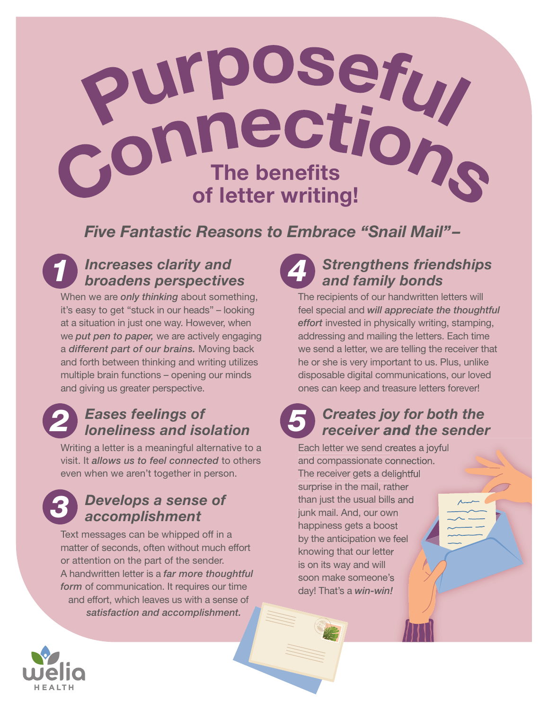

*Five Fantastic Reasons to Embrace "Snail Mail"–* 

## *1 Increases clarity and broadens perspectives*

When we are *only thinking* about something, it's easy to get "stuck in our heads" – looking at a situation in just one way. However, when we *put pen to paper,* we are actively engaging a *different part of our brains.* Moving back and forth between thinking and writing utilizes multiple brain functions – opening our minds and giving us greater perspective.

## *2 Eases feelings of loneliness and isolation*

Writing a letter is a meaningful alternative to a visit. It *allows us to feel connected* to others even when we aren't together in person.

### *3 Develops a sense of accomplishment*

Text messages can be whipped off in a matter of seconds, often without much effort or attention on the part of the sender. A handwritten letter is a *far more thoughtful form* of communication. It requires our time and effort, which leaves us with a sense of *satisfaction and accomplishment.*

## *4 Strengthens friendships and family bonds*

The recipients of our handwritten letters will feel special and *will appreciate the thoughtful effort* invested in physically writing, stamping, addressing and mailing the letters. Each time we send a letter, we are telling the receiver that he or she is very important to us. Plus, unlike disposable digital communications, our loved ones can keep and treasure letters forever!

# *5 Creates joy for both the receiver and the sender*

Each letter we send creates a joyful and compassionate connection. The receiver gets a delightful surprise in the mail, rather than just the usual bills and junk mail. And, our own happiness gets a boost by the anticipation we feel knowing that our letter is on its way and will soon make someone's day! That's a *win-win!*